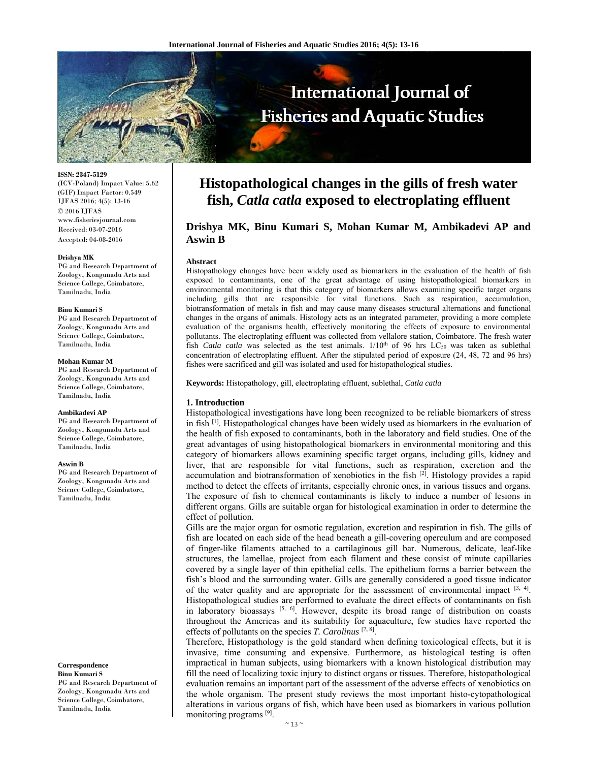

**ISSN: 2347-5129** 

(ICV-Poland) Impact Value: 5.62 (GIF) Impact Factor: 0.549 IJFAS 2016; 4(5): 13-16 © 2016 IJFAS www.fisheriesjournal.com Received: 03-07-2016 Accepted: 04-08-2016

#### **Drishya MK**

PG and Research Department of Zoology, Kongunadu Arts and Science College, Coimbatore, Tamilnadu, India

#### **Binu Kumari S**

PG and Research Department of Zoology, Kongunadu Arts and Science College, Coimbatore, Tamilnadu, India

#### **Mohan Kumar M**

PG and Research Department of Zoology, Kongunadu Arts and Science College, Coimbatore, Tamilnadu, India

#### **Ambikadevi AP**

PG and Research Department of Zoology, Kongunadu Arts and Science College, Coimbatore, Tamilnadu, India

#### **Aswin B**

PG and Research Department of Zoology, Kongunadu Arts and Science College, Coimbatore, Tamilnadu, India

#### **Correspondence**

**Binu Kumari S** PG and Research Department of Zoology, Kongunadu Arts and Science College, Coimbatore, Tamilnadu, India

# **Histopathological changes in the gills of fresh water fish,** *Catla catla* **exposed to electroplating effluent**

# **Drishya MK, Binu Kumari S, Mohan Kumar M, Ambikadevi AP and Aswin B**

#### **Abstract**

Histopathology changes have been widely used as biomarkers in the evaluation of the health of fish exposed to contaminants, one of the great advantage of using histopathological biomarkers in environmental monitoring is that this category of biomarkers allows examining specific target organs including gills that are responsible for vital functions. Such as respiration, accumulation, biotransformation of metals in fish and may cause many diseases structural alternations and functional changes in the organs of animals. Histology acts as an integrated parameter, providing a more complete evaluation of the organisms health, effectively monitoring the effects of exposure to environmental pollutants. The electroplating effluent was collected from vellalore station, Coimbatore. The fresh water fish *Catla catla* was selected as the test animals.  $1/10^{th}$  of 96 hrs LC<sub>50</sub> was taken as sublethal concentration of electroplating effluent. After the stipulated period of exposure (24, 48, 72 and 96 hrs) fishes were sacrificed and gill was isolated and used for histopathological studies.

**Keywords:** Histopathology, gill, electroplating effluent, sublethal, *Catla catla*

#### **1. Introduction**

Histopathological investigations have long been recognized to be reliable biomarkers of stress in fish  $^{[1]}$ . Histopathological changes have been widely used as biomarkers in the evaluation of the health of fish exposed to contaminants, both in the laboratory and field studies. One of the great advantages of using histopathological biomarkers in environmental monitoring and this category of biomarkers allows examining specific target organs, including gills, kidney and liver, that are responsible for vital functions, such as respiration, excretion and the accumulation and biotransformation of xenobiotics in the fish  $\left[2\right]$ . Histology provides a rapid method to detect the effects of irritants, especially chronic ones, in various tissues and organs. The exposure of fish to chemical contaminants is likely to induce a number of lesions in different organs. Gills are suitable organ for histological examination in order to determine the effect of pollution.

Gills are the major organ for osmotic regulation, excretion and respiration in fish. The gills of fish are located on each side of the head beneath a gill-covering operculum and are composed of finger-like filaments attached to a cartilaginous gill bar. Numerous, delicate, leaf-like structures, the lamellae, project from each filament and these consist of minute capillaries covered by a single layer of thin epithelial cells. The epithelium forms a barrier between the fish's blood and the surrounding water. Gills are generally considered a good tissue indicator of the water quality and are appropriate for the assessment of environmental impact  $[3, 4]$ . Histopathological studies are performed to evaluate the direct effects of contaminants on fish in laboratory bioassays  $[5, 6]$ . However, despite its broad range of distribution on coasts throughout the Americas and its suitability for aquaculture, few studies have reported the effects of pollutants on the species *T. Carolinus* [7, 8].

Therefore, Histopathology is the gold standard when defining toxicological effects, but it is invasive, time consuming and expensive. Furthermore, as histological testing is often impractical in human subjects, using biomarkers with a known histological distribution may fill the need of localizing toxic injury to distinct organs or tissues. Therefore, histopathological evaluation remains an important part of the assessment of the adverse effects of xenobiotics on the whole organism. The present study reviews the most important histo-cytopathological alterations in various organs of fish, which have been used as biomarkers in various pollution monitoring programs [9].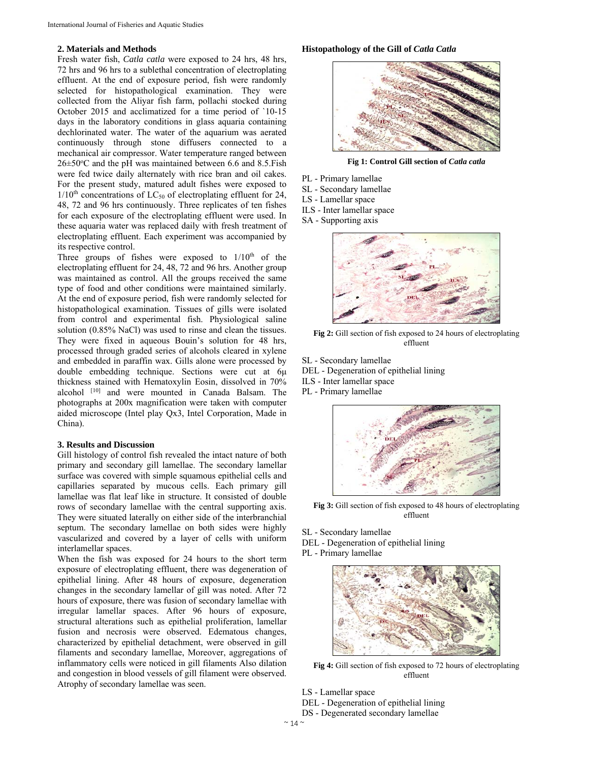# **2. Materials and Methods**

Fresh water fish, *Catla catla* were exposed to 24 hrs, 48 hrs, 72 hrs and 96 hrs to a sublethal concentration of electroplating effluent. At the end of exposure period, fish were randomly selected for histopathological examination. They were collected from the Aliyar fish farm, pollachi stocked during October 2015 and acclimatized for a time period of `10-15 days in the laboratory conditions in glass aquaria containing dechlorinated water. The water of the aquarium was aerated continuously through stone diffusers connected to a mechanical air compressor. Water temperature ranged between  $26 \pm 50^{\circ}$ C and the pH was maintained between 6.6 and 8.5. Fish were fed twice daily alternately with rice bran and oil cakes. For the present study, matured adult fishes were exposed to  $1/10<sup>th</sup>$  concentrations of LC<sub>50</sub> of electroplating effluent for 24, 48, 72 and 96 hrs continuously. Three replicates of ten fishes for each exposure of the electroplating effluent were used. In these aquaria water was replaced daily with fresh treatment of electroplating effluent. Each experiment was accompanied by its respective control.

Three groups of fishes were exposed to  $1/10<sup>th</sup>$  of the electroplating effluent for 24, 48, 72 and 96 hrs. Another group was maintained as control. All the groups received the same type of food and other conditions were maintained similarly. At the end of exposure period, fish were randomly selected for histopathological examination. Tissues of gills were isolated from control and experimental fish. Physiological saline solution (0.85% NaCl) was used to rinse and clean the tissues. They were fixed in aqueous Bouin's solution for 48 hrs, processed through graded series of alcohols cleared in xylene and embedded in paraffin wax. Gills alone were processed by double embedding technique. Sections were cut at 6μ thickness stained with Hematoxylin Eosin, dissolved in 70% alcohol [10] and were mounted in Canada Balsam. The photographs at 200x magnification were taken with computer aided microscope (Intel play Qx3, Intel Corporation, Made in China).

## **3. Results and Discussion**

Gill histology of control fish revealed the intact nature of both primary and secondary gill lamellae. The secondary lamellar surface was covered with simple squamous epithelial cells and capillaries separated by mucous cells. Each primary gill lamellae was flat leaf like in structure. It consisted of double rows of secondary lamellae with the central supporting axis. They were situated laterally on either side of the interbranchial septum. The secondary lamellae on both sides were highly vascularized and covered by a layer of cells with uniform interlamellar spaces.

When the fish was exposed for 24 hours to the short term exposure of electroplating effluent, there was degeneration of epithelial lining. After 48 hours of exposure, degeneration changes in the secondary lamellar of gill was noted. After 72 hours of exposure, there was fusion of secondary lamellae with irregular lamellar spaces. After 96 hours of exposure, structural alterations such as epithelial proliferation, lamellar fusion and necrosis were observed. Edematous changes, characterized by epithelial detachment, were observed in gill filaments and secondary lamellae, Moreover, aggregations of inflammatory cells were noticed in gill filaments Also dilation and congestion in blood vessels of gill filament were observed. Atrophy of secondary lamellae was seen.

### **Histopathology of the Gill of** *Catla Catla*



**Fig 1: Control Gill section of** *Catla catla* 

- PL Primary lamellae
- SL Secondary lamellae
- LS Lamellar space
- ILS Inter lamellar space
- SA Supporting axis



**Fig 2:** Gill section of fish exposed to 24 hours of electroplating effluent

SL - Secondary lamellae DEL - Degeneration of epithelial lining ILS - Inter lamellar space PL - Primary lamellae



**Fig 3:** Gill section of fish exposed to 48 hours of electroplating effluent

SL - Secondary lamellae

DEL - Degeneration of epithelial lining PL - Primary lamellae



**Fig 4:** Gill section of fish exposed to 72 hours of electroplating effluent

- LS Lamellar space
- DEL Degeneration of epithelial lining
- DS Degenerated secondary lamellae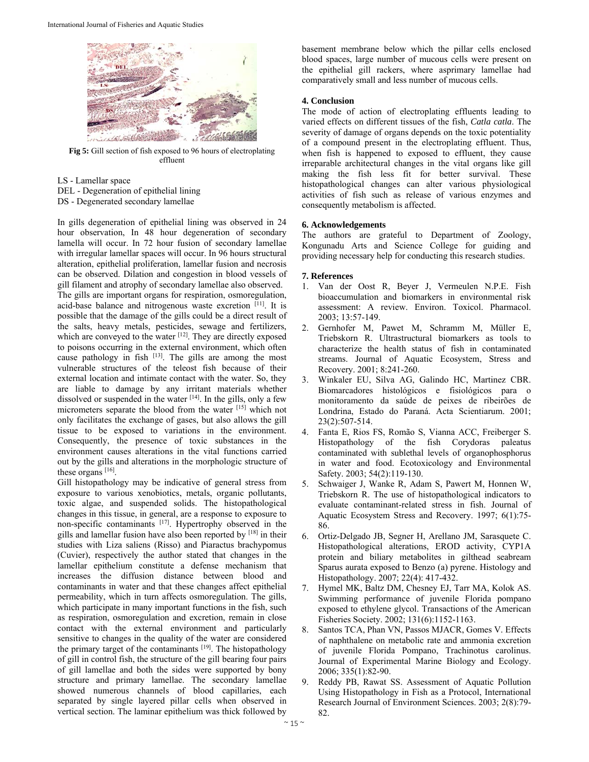

**Fig 5:** Gill section of fish exposed to 96 hours of electroplating effluent

LS - Lamellar space

- DEL Degeneration of epithelial lining
- DS Degenerated secondary lamellae

In gills degeneration of epithelial lining was observed in 24 hour observation, In 48 hour degeneration of secondary lamella will occur. In 72 hour fusion of secondary lamellae with irregular lamellar spaces will occur. In 96 hours structural alteration, epithelial proliferation, lamellar fusion and necrosis can be observed. Dilation and congestion in blood vessels of gill filament and atrophy of secondary lamellae also observed. The gills are important organs for respiration, osmoregulation, acid-base balance and nitrogenous waste excretion [11]. It is possible that the damage of the gills could be a direct result of the salts, heavy metals, pesticides, sewage and fertilizers, which are conveyed to the water [12]. They are directly exposed to poisons occurring in the external environment, which often cause pathology in fish  $[13]$ . The gills are among the most vulnerable structures of the teleost fish because of their external location and intimate contact with the water. So, they are liable to damage by any irritant materials whether dissolved or suspended in the water  $[14]$ . In the gills, only a few micrometers separate the blood from the water [15] which not only facilitates the exchange of gases, but also allows the gill tissue to be exposed to variations in the environment. Consequently, the presence of toxic substances in the environment causes alterations in the vital functions carried out by the gills and alterations in the morphologic structure of these organs [16].

Gill histopathology may be indicative of general stress from exposure to various xenobiotics, metals, organic pollutants, toxic algae, and suspended solids. The histopathological changes in this tissue, in general, are a response to exposure to non-specific contaminants [17]. Hypertrophy observed in the gills and lamellar fusion have also been reported by [18] in their studies with Liza saliens (Risso) and Piaractus brachypomus (Cuvier), respectively the author stated that changes in the lamellar epithelium constitute a defense mechanism that increases the diffusion distance between blood and contaminants in water and that these changes affect epithelial permeability, which in turn affects osmoregulation. The gills, which participate in many important functions in the fish, such as respiration, osmoregulation and excretion, remain in close contact with the external environment and particularly sensitive to changes in the quality of the water are considered the primary target of the contaminants [19]. The histopathology of gill in control fish, the structure of the gill bearing four pairs of gill lamellae and both the sides were supported by bony structure and primary lamellae. The secondary lamellae showed numerous channels of blood capillaries, each separated by single layered pillar cells when observed in vertical section. The laminar epithelium was thick followed by

basement membrane below which the pillar cells enclosed blood spaces, large number of mucous cells were present on the epithelial gill rackers, where asprimary lamellae had comparatively small and less number of mucous cells.

# **4. Conclusion**

The mode of action of electroplating effluents leading to varied effects on different tissues of the fish, *Catla catla*. The severity of damage of organs depends on the toxic potentiality of a compound present in the electroplating effluent. Thus, when fish is happened to exposed to effluent, they cause irreparable architectural changes in the vital organs like gill making the fish less fit for better survival. These histopathological changes can alter various physiological activities of fish such as release of various enzymes and consequently metabolism is affected.

# **6. Acknowledgements**

The authors are grateful to Department of Zoology, Kongunadu Arts and Science College for guiding and providing necessary help for conducting this research studies.

# **7. References**

- 1. Van der Oost R, Beyer J, Vermeulen N.P.E. Fish bioaccumulation and biomarkers in environmental risk assessment: A review. Environ. Toxicol. Pharmacol. 2003; 13:57-149.
- 2. Gernhofer M, Pawet M, Schramm M, Müller E, Triebskorn R. Ultrastructural biomarkers as tools to characterize the health status of fish in contaminated streams. Journal of Aquatic Ecosystem, Stress and Recovery. 2001; 8:241-260.
- 3. Winkaler EU, Silva AG, Galindo HC, Martinez CBR. Biomarcadores histológicos e fisiológicos para o monitoramento da saúde de peixes de ribeirões de Londrina, Estado do Paraná. Acta Scientiarum. 2001; 23(2):507-514.
- 4. Fanta E, Rios FS, Romão S, Vianna ACC, Freiberger S. Histopathology of the fish Corydoras paleatus contaminated with sublethal levels of organophosphorus in water and food. Ecotoxicology and Environmental Safety. 2003; 54(2):119-130.
- 5. Schwaiger J, Wanke R, Adam S, Pawert M, Honnen W, Triebskorn R. The use of histopathological indicators to evaluate contaminant-related stress in fish. Journal of Aquatic Ecosystem Stress and Recovery. 1997; 6(1):75- 86.
- 6. Ortiz-Delgado JB, Segner H, Arellano JM, Sarasquete C. Histopathological alterations, EROD activity, CYP1A protein and biliary metabolites in gilthead seabream Sparus aurata exposed to Benzo (a) pyrene. Histology and Histopathology. 2007; 22(4): 417-432.
- 7. Hymel MK, Baltz DM, Chesney EJ, Tarr MA, Kolok AS. Swimming performance of juvenile Florida pompano exposed to ethylene glycol. Transactions of the American Fisheries Society. 2002; 131(6):1152-1163.
- 8. Santos TCA, Phan VN, Passos MJACR, Gomes V. Effects of naphthalene on metabolic rate and ammonia excretion of juvenile Florida Pompano, Trachinotus carolinus. Journal of Experimental Marine Biology and Ecology. 2006; 335(1):82-90.
- 9. Reddy PB, Rawat SS. Assessment of Aquatic Pollution Using Histopathology in Fish as a Protocol, International Research Journal of Environment Sciences. 2003; 2(8):79- 82.